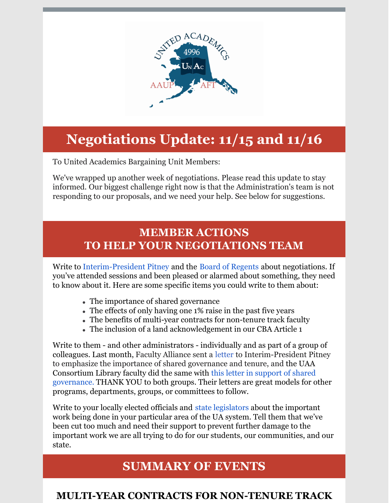

# **Negotiations Update: 11/15 and 11/16**

To United Academics Bargaining Unit Members:

We've wrapped up another week of negotiations. Please read this update to stay informed. Our biggest challenge right now is that the Administration's team is not responding to our proposals, and we need your help. See below for suggestions.

# **MEMBER ACTIONS TO HELP YOUR NEGOTIATIONS TEAM**

Write to [Interim-President](mailto:ua.president@alaska.edu) Pitney and the Board of [Regents](http://ua-bor@alaska.edu/) about negotiations. If you've attended sessions and been pleased or alarmed about something, they need to know about it. Here are some specific items you could write to them about:

- The importance of shared governance
- The effects of only having one 1% raise in the past five years
- The benefits of multi-year contracts for non-tenure track faculty
- The inclusion of a land acknowledgement in our CBA Article 1

Write to them - and other administrators - individually and as part of a group of colleagues. Last month, Faculty Alliance sent a [letter](http://unitedacademics.net/faculty-alliance-letter-to-interim-president-pitney/) to Interim-President Pitney to emphasize the importance of shared governance and tenure, and the UAA Consortium Library faculty did the same with this letter in support of shared [governance.](http://unitedacademics.net/uaa-consortium-library-faculty-letter-to-president-pitney-chancellor-parnell-and-the-ua-negotiation-team/) THANK YOU to both groups. Their letters are great models for other programs, departments, groups, or committees to follow.

Write to your locally elected officials and state [legislators](http://akleg.gov/house.php) about the important work being done in your particular area of the UA system. Tell them that we've been cut too much and need their support to prevent further damage to the important work we are all trying to do for our students, our communities, and our state.

# **SUMMARY OF EVENTS**

### **MULTI-YEAR CONTRACTS FOR NON-TENURE TRACK**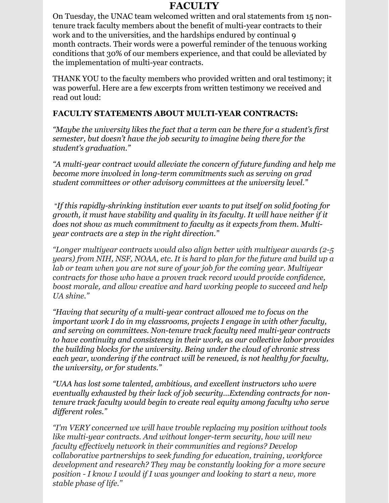#### **FACULTY**

On Tuesday, the UNAC team welcomed written and oral statements from 15 nontenure track faculty members about the benefit of multi-year contracts to their work and to the universities, and the hardships endured by continual 9 month contracts. Their words were a powerful reminder of the tenuous working conditions that 30% of our members experience, and that could be alleviated by the implementation of multi-year contracts.

THANK YOU to the faculty members who provided written and oral testimony; it was powerful. Here are a few excerpts from written testimony we received and read out loud:

#### **FACULTY STATEMENTS ABOUT MULTI-YEAR CONTRACTS:**

*"Maybe the university likes the fact that a term can be there for a student's first semester, but doesn't have the job security to imagine being there for the student's graduation."*

*"A multi-year contract would alleviate the concern of future funding and help me become more involved in long-term commitments such as serving on grad student committees or other advisory committees at the university level."*

"*If this rapidly-shrinking institution ever wants to put itself on solid footing for growth, it must have stability and quality in its faculty. It will have neither if it does not show as much commitment to faculty as it expects from them. Multiyear contracts are a step in the right direction."*

*"Longer multiyear contracts would also align better with multiyear awards (2-5 years) from NIH, NSF, NOAA, etc. It is hard to plan for the future and build up a lab or team when you are not sure of your job for the coming year. Multiyear contracts for those who have a proven track record would provide confidence, boost morale, and allow creative and hard working people to succeed and help UA shine."*

*"Having that security of a multi-year contract allowed me to focus on the important work I do in my classrooms, projects I engage in with other faculty, and serving on committees. Non-tenure track faculty need multi-year contracts to have continuity and consistency in their work, as our collective labor provides the building blocks for the university. Being under the cloud of chronic stress each year, wondering if the contract will be renewed, is not healthy for faculty, the university, or for students."*

*"UAA has lost some talented, ambitious, and excellent instructors who were eventually exhausted by their lack of job security...Extending contracts for nontenure track faculty would begin to create real equity among faculty who serve dif erent roles."*

*"I'm VERY concerned we will have trouble replacing my position without tools like multi-year contracts. And without longer-term security, how will new faculty ef ectively network in their communities and regions? Develop collaborative partnerships to seek funding for education, training, workforce development and research? They may be constantly looking for a more secure position - I know I would if I was younger and looking to start a new, more stable phase of life."*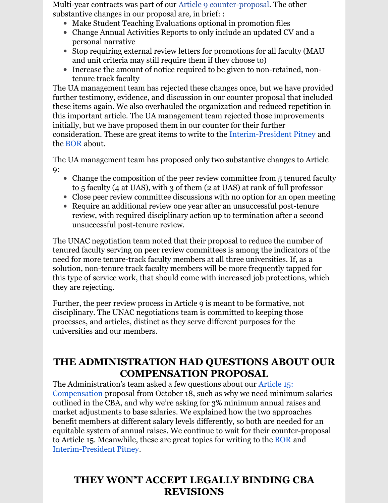Multi-year contracts was part of our Article 9 [counter-proposal](http://unitedacademics.net/wp-content/uploads/2021/11/Article-9-UNAC-Counter-11-16.pdf). The other substantive changes in our proposal are, in brief: :

- Make Student Teaching Evaluations optional in promotion files
- Change Annual Activities Reports to only include an updated CV and a personal narrative
- Stop requiring external review letters for promotions for all faculty (MAU) and unit criteria may still require them if they choose to)
- Increase the amount of notice required to be given to non-retained, nontenure track faculty

The UA management team has rejected these changes once, but we have provided further testimony, evidence, and discussion in our counter proposal that included these items again. We also overhauled the organization and reduced repetition in this important article. The UA management team rejected those improvements initially, but we have proposed them in our counter for their further consideration. These are great items to write to the [Interim-President](mailto:ua.president@alaska.edu) Pitney and the [BOR](http://ua-bor@alaska.edu/) about.

The UA management team has proposed only two substantive changes to Article 9:

- Change the composition of the peer review committee from 5 tenured faculty to 5 faculty (4 at UAS), with 3 of them (2 at UAS) at rank of full professor
- Close peer review committee discussions with no option for an open meeting
- Require an additional review one year after an unsuccessful post-tenure review, with required disciplinary action up to termination after a second unsuccessful post-tenure review.

The UNAC negotiation team noted that their proposal to reduce the number of tenured faculty serving on peer review committees is among the indicators of the need for more tenure-track faculty members at all three universities. If, as a solution, non-tenure track faculty members will be more frequently tapped for this type of service work, that should come with increased job protections, which they are rejecting.

Further, the peer review process in Article 9 is meant to be formative, not disciplinary. The UNAC negotiations team is committed to keeping those processes, and articles, distinct as they serve different purposes for the universities and our members.

### **THE ADMINISTRATION HAD QUESTIONS ABOUT OUR COMPENSATION PROPOSAL**

The [Administration's](http://unitedacademics.net/wp-content/uploads/2021/10/Article-15-UNAC-proposal-10-18.pdf) team asked a few questions about our Article 15: Compensation proposal from October 18, such as why we need minimum salaries outlined in the CBA, and why we're asking for 3% minimum annual raises and market adjustments to base salaries. We explained how the two approaches benefit members at different salary levels differently, so both are needed for an equitable system of annual raises. We continue to wait for their counter-proposal to Article 15. Meanwhile, these are great topics for writing to the [BOR](http://ua-bor@alaska.edu) and [Interim-President](mailto:ua.president@alaska.edu) Pitney.

### **THEY WON'T ACCEPT LEGALLY BINDING CBA REVISIONS**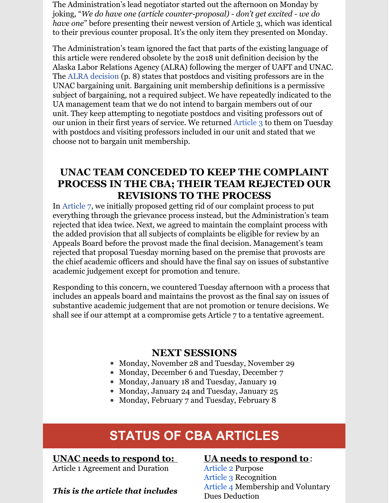The Administration's lead negotiator started out the afternoon on Monday by joking, "*We do have one (article counter-proposal) - don't get excited - we do have one*" before presenting their newest version of Article 3, which was identical to their previous counter proposal. It's the only item they presented on Monday.

The Administration's team ignored the fact that parts of the existing language of this article were rendered obsolete by the 2018 unit definition decision by the Alaska Labor Relations Agency (ALRA) following the merger of UAFT and UNAC. The ALRA [decision](https://files.constantcontact.com/4d5d67b2801/b7768dbb-c2c5-4cf5-acd2-e29c31e97af2.pdf) (p. 8) states that postdocs and visiting professors are in the UNAC bargaining unit. Bargaining unit membership definitions is a permissive subject of bargaining, not a required subject. We have repeatedly indicated to the UA management team that we do not intend to bargain members out of our unit. They keep attempting to negotiate postdocs and visiting professors out of our union in their first years of service. We returned [Article](http://unitedacademics.net/wp-content/uploads/2021/11/Art-3-UNAC-Counter-11_16.pdf) 3 to them on Tuesday with postdocs and visiting professors included in our unit and stated that we choose not to bargain unit membership.

#### **UNAC TEAM CONCEDED TO KEEP THE COMPLAINT PROCESS IN THE CBA; THEIR TEAM REJECTED OUR REVISIONS TO THE PROCESS**

In [Article](http://unitedacademics.net/wp-content/uploads/2021/11/Article-7-UNAC-Counter-11-16.pdf) 7, we initially proposed getting rid of our complaint process to put everything through the grievance process instead, but the Administration's team rejected that idea twice. Next, we agreed to maintain the complaint process with the added provision that all subjects of complaints be eligible for review by an Appeals Board before the provost made the final decision. Management's team rejected that proposal Tuesday morning based on the premise that provosts are the chief academic officers and should have the final say on issues of substantive academic judgement except for promotion and tenure.

Responding to this concern, we countered Tuesday afternoon with a process that includes an appeals board and maintains the provost as the final say on issues of substantive academic judgement that are not promotion or tenure decisions. We shall see if our attempt at a compromise gets Article 7 to a tentative agreement.

#### **NEXT SESSIONS**

- Monday, November 28 and Tuesday, November 29
- Monday, December 6 and Tuesday, December 7
- Monday, January 18 and Tuesday, January 19
- Monday, January 24 and Tuesday, January 25
- Monday, February 7 and Tuesday, February 8

# **STATUS OF CBA ARTICLES**

#### **UNAC needs to respond to:**

Article 1 Agreement and Duration

*This is the article that includes*

#### **UA needs to respond to**:

[Article](http://unitedacademics.net/wp-content/uploads/2021/11/Art-2-UNAC-Counter-10-25-1.pdf) 2 Purpose [Article](http://unitedacademics.net/wp-content/uploads/2021/11/Art-3-UNAC-Counter-11_16.pdf) 3 Recognition [Article](http://unitedacademics.net/wp-content/uploads/2021/11/Article-4-UNAC-Counter-11-9.pdf) 4 Membership and Voluntary Dues Deduction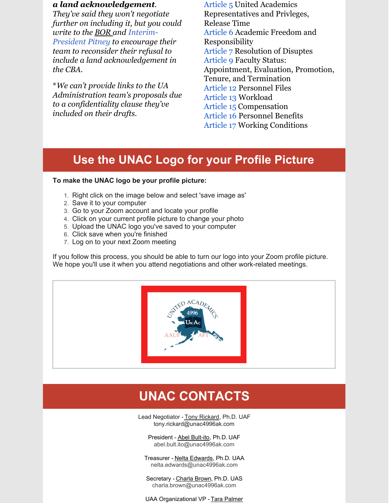#### *a land acknowledgement.*

*They've said they won't negotiate further on including it, but you could write to the [BOR](http://ua-bor@alaska.edu) and Interim-President Pitney to [encourage](mailto:ua.president@alaska.edu) their team to reconsider their refusal to include a land acknowledgement in the CBA.*

\**We can't provide links to the UA Administration team's proposals due to a confidentiality clause they've included on their drafts.*

[Article](http://unitedacademics.net/wp-content/uploads/2021/11/Article-5-UNAC-Counter-11-15.pdf) 5 United Academics Representatives and Privleges, Release Time [Article](http://unitedacademics.net/wp-content/uploads/2021/10/Article-6-UNAC-Counter-10-19.pdf) 6 Academic Freedom and Responsibility [Article](http://unitedacademics.net/wp-content/uploads/2021/11/Article-7-UNAC-Counter-11-16.pdf) 7 Resolution of Disuptes [Article](http://unitedacademics.net/wp-content/uploads/2021/11/Article-9-UNAC-Counter-11-16.pdf) 9 Faculty Status: Appointment, Evaluation, Promotion, Tenure, and Termination [Article](http://unitedacademics.net/wp-content/uploads/2021/11/Article-12-UNAC-counter-11-9.pdf) 12 Personnel Files [Article](http://unitedacademics.net/wp-content/uploads/2021/11/Article-13-UNAC-Counter-11-1-21.pdf) 13 Workload [Article](http://unitedacademics.net/wp-content/uploads/2021/10/Article-15-UNAC-proposal-10-18.pdf) 15 Compensation [Article](http://unitedacademics.net/wp-content/uploads/2021/10/Article-16-UNAC-10-19.pdf) 16 Personnel Benefits [Article](http://unitedacademics.net/wp-content/uploads/2021/11/Article-17-UNAC-counterproposal-10-26.pdf) 17 Working Conditions

# **Use the UNAC Logo for your Profile Picture**

#### **To make the UNAC logo be your profile picture:**

- 1. Right click on the image below and select 'save image as'
- 2. Save it to your computer
- 3. Go to your Zoom account and locate your profile
- 4. Click on your current profile picture to change your photo
- 5. Upload the UNAC logo you've saved to your computer
- 6. Click save when you're finished
- 7. Log on to your next Zoom meeting

If you follow this process, you should be able to turn our logo into your Zoom profile picture. We hope you'll use it when you attend negotiations and other work-related meetings.



# **UNAC CONTACTS**

Lead Negotiator - Tony Rickard, Ph.D. UAF tony.rickard@unac4996ak.com

President - Abel [Bult-ito](mailto:abultito@alaska.edu), Ph.D. UAF abel.bult.ito@unac4996ak.com

Treasurer - Nelta [Edwards](mailto:nelta.edwards@alaska.edu), Ph.D. UAA nelta.edwards@unac4996ak.com

Secretary - [Charla](mailto:charla.brown@alaska.edu) Brown, Ph.D. UAS charla.brown@unac4996ak.com

UAA Organizational VP - Tara [Palmer](mailto:tmsmith@alaska.edu)